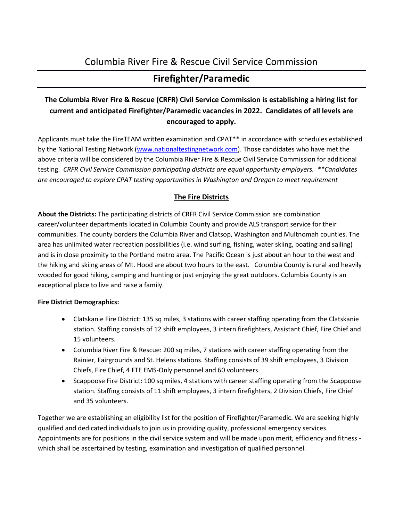# Columbia River Fire & Rescue Civil Service Commission

# **Firefighter/Paramedic**

# **The Columbia River Fire & Rescue (CRFR) Civil Service Commission is establishing a hiring list for current and anticipated Firefighter/Paramedic vacancies in 2022. Candidates of all levels are encouraged to apply.**

Applicants must take the FireTEAM written examination and CPAT\*\* in accordance with schedules established by the National Testing Network [\(www.nationaltestingnetwork.com\)](http://www.nationaltestingnetwork.com/). Those candidates who have met the above criteria will be considered by the Columbia River Fire & Rescue Civil Service Commission for additional testing. *CRFR Civil Service Commission participating districts are equal opportunity employers. \*\*Candidates are encouraged to explore CPAT testing opportunities in Washington and Oregon to meet requirement*

# **The Fire Districts**

**About the Districts:** The participating districts of CRFR Civil Service Commission are combination career/volunteer departments located in Columbia County and provide ALS transport service for their communities. The county borders the Columbia River and Clatsop, Washington and Multnomah counties. The area has unlimited water recreation possibilities (i.e. wind surfing, fishing, water skiing, boating and sailing) and is in close proximity to the Portland metro area. The Pacific Ocean is just about an hour to the west and the hiking and skiing areas of Mt. Hood are about two hours to the east. Columbia County is rural and heavily wooded for good hiking, camping and hunting or just enjoying the great outdoors. Columbia County is an exceptional place to live and raise a family.

## **Fire District Demographics:**

- Clatskanie Fire District: 135 sq miles, 3 stations with career staffing operating from the Clatskanie station. Staffing consists of 12 shift employees, 3 intern firefighters, Assistant Chief, Fire Chief and 15 volunteers.
- Columbia River Fire & Rescue: 200 sq miles, 7 stations with career staffing operating from the Rainier, Fairgrounds and St. Helens stations. Staffing consists of 39 shift employees, 3 Division Chiefs, Fire Chief, 4 FTE EMS-Only personnel and 60 volunteers.
- Scappoose Fire District: 100 sq miles, 4 stations with career staffing operating from the Scappoose station. Staffing consists of 11 shift employees, 3 intern firefighters, 2 Division Chiefs, Fire Chief and 35 volunteers.

Together we are establishing an eligibility list for the position of Firefighter/Paramedic. We are seeking highly qualified and dedicated individuals to join us in providing quality, professional emergency services. Appointments are for positions in the civil service system and will be made upon merit, efficiency and fitness which shall be ascertained by testing, examination and investigation of qualified personnel.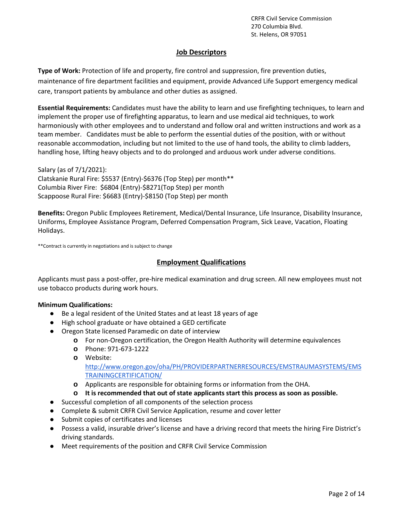### **Job Descriptors**

**Type of Work:** Protection of life and property, fire control and suppression, fire prevention duties, maintenance of fire department facilities and equipment, provide Advanced Life Support emergency medical care, transport patients by ambulance and other duties as assigned.

**Essential Requirements:** Candidates must have the ability to learn and use firefighting techniques, to learn and implement the proper use of firefighting apparatus, to learn and use medical aid techniques, to work harmoniously with other employees and to understand and follow oral and written instructions and work as a team member. Candidates must be able to perform the essential duties of the position, with or without reasonable accommodation, including but not limited to the use of hand tools, the ability to climb ladders, handling hose, lifting heavy objects and to do prolonged and arduous work under adverse conditions.

Salary (as of 7/1/2021): Clatskanie Rural Fire: \$5537 (Entry)-\$6376 (Top Step) per month\*\* Columbia River Fire: \$6804 (Entry)-\$8271(Top Step) per month Scappoose Rural Fire: \$6683 (Entry)-\$8150 (Top Step) per month

**Benefits:** Oregon Public Employees Retirement, Medical/Dental Insurance, Life Insurance, Disability Insurance, Uniforms, Employee Assistance Program, Deferred Compensation Program, Sick Leave, Vacation, Floating Holidays.

\*\*Contract is currently in negotiations and is subject to change

### **Employment Qualifications**

Applicants must pass a post-offer, pre-hire medical examination and drug screen. All new employees must not use tobacco products during work hours.

### **Minimum Qualifications:**

- Be a legal resident of the United States and at least 18 years of age
- High school graduate or have obtained a GED certificate
- Oregon State licensed Paramedic on date of interview
	- **o** For non-Oregon certification, the Oregon Health Authority will determine equivalences
	- **o** Phone: 971-673-1222
	- **o** Website:

[http://www.oregon.gov/oha/PH/PROVIDERPARTNERRESOURCES/EMSTRAUMASYSTEMS/EMS](http://www.oregon.gov/oha/PH/PROVIDERPARTNERRESOURCES/EMSTRAUMASYSTEMS/EMSTRAININGCERTIFICATION/) [TRAININGCERTIFICATION/](http://www.oregon.gov/oha/PH/PROVIDERPARTNERRESOURCES/EMSTRAUMASYSTEMS/EMSTRAININGCERTIFICATION/)

**o** Applicants are responsible for obtaining forms or information from the OHA.

### **o It is recommended that out of state applicants start this process as soon as possible.**

- Successful completion of all components of the selection process
- Complete & submit CRFR Civil Service Application, resume and cover letter
- Submit copies of certificates and licenses
- Possess a valid, insurable driver's license and have a driving record that meets the hiring Fire District's driving standards.
- Meet requirements of the position and CRFR Civil Service Commission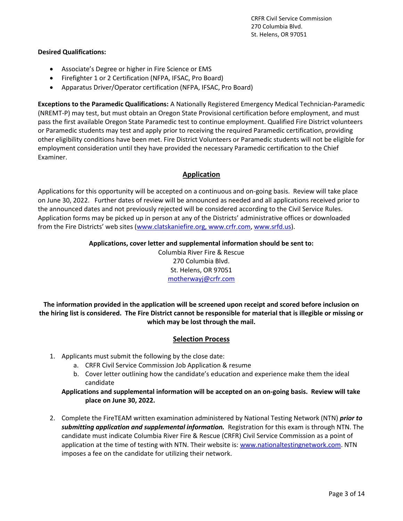### **Desired Qualifications:**

- Associate's Degree or higher in Fire Science or EMS
- Firefighter 1 or 2 Certification (NFPA, IFSAC, Pro Board)
- Apparatus Driver/Operator certification (NFPA, IFSAC, Pro Board)

**Exceptions to the Paramedic Qualifications:** A Nationally Registered Emergency Medical Technician-Paramedic (NREMT-P) may test, but must obtain an Oregon State Provisional certification before employment, and must pass the first available Oregon State Paramedic test to continue employment. Qualified Fire District volunteers or Paramedic students may test and apply prior to receiving the required Paramedic certification, providing other eligibility conditions have been met. Fire District Volunteers or Paramedic students will not be eligible for employment consideration until they have provided the necessary Paramedic certification to the Chief Examiner.

## **Application**

Applications for this opportunity will be accepted on a continuous and on-going basis. Review will take place on June 30, 2022. Further dates of review will be announced as needed and all applications received prior to the announced dates and not previously rejected will be considered according to the Civil Service Rules. Application forms may be picked up in person at any of the Districts' administrative offices or downloaded from the Fire Districts' web sites ([www.clatskaniefire.org,](http://www.clatskaniefire.org/) [www.crfr.com,](http://www.crfr.com/) [www.srfd.us\)](http://www.srfd.us/).

## **Applications, cover letter and supplemental information should be sent to:**

Columbia River Fire & Rescue 270 Columbia Blvd. St. Helens, OR 97051 [motherwayj@crfr.com](mailto:nelsonm@crfr.com)

**The information provided in the application will be screened upon receipt and scored before inclusion on the hiring list is considered. The Fire District cannot be responsible for material that is illegible or missing or which may be lost through the mail.**

## **Selection Process**

- 1. Applicants must submit the following by the close date:
	- a. CRFR Civil Service Commission Job Application & resume
	- b. Cover letter outlining how the candidate's education and experience make them the ideal candidate

**Applications and supplemental information will be accepted on an on-going basis. Review will take place on June 30, 2022.**

2. Complete the FireTEAM written examination administered by National Testing Network (NTN) *prior to submitting application and supplemental information.* Registration for this exam is through NTN. The candidate must indicate Columbia River Fire & Rescue (CRFR) Civil Service Commission as a point of application at the time of testing with NTN. Their website is[: www.nationaltestingnetwork.com.](http://www.nationaltestingnetwork.com/) NTN imposes a fee on the candidate for utilizing their network.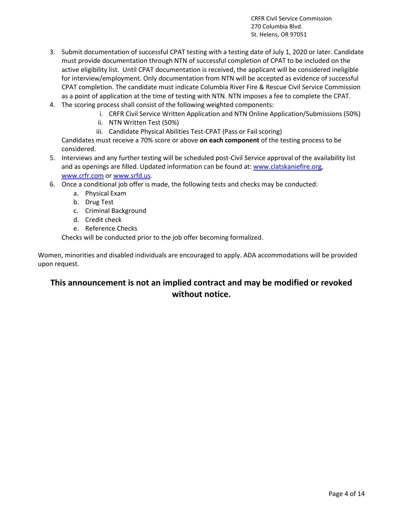- 3. Submit documentation of successful CPAT testing with a testing date of July 1, 2020 or later. Candidate must provide documentation through NTN of successful completion of CPAT to be included on the active eligibility list. Until CPAT documentation is received, the applicant will be considered ineligible for interview/employment. Only documentation from NTN will be accepted as evidence of successful CPAT completion. The candidate must indicate Columbia River Fire & Rescue Civil Service Commission as a point of application at the time of testing with NTN. NTN imposes a fee to complete the CPAT.
- 4. The scoring process shall consist of the following weighted components:
	- i. CRFR Civil Service Written Application and NTN Online Application/Submissions (50%)
	- ii. NTN Written Test (50%)
	- iii. Candidate Physical Abilities Test-CPAT (Pass or Fail scoring)

Candidates must receive a 70% score or above **on each component** of the testing process to be considered.

- 5. Interviews and any further testing will be scheduled post-Civil Service approval of the availability list and as openings are filled. Updated information can be found at: [www.clatskaniefire.org,](http://www.clatskaniefire.org/) [www.crfr.com](http://www.crfr.com/) or [www.srfd.us.](http://www.srfd.us/)
- 6. Once a conditional job offer is made, the following tests and checks may be conducted:
	- a. Physical Exam
	- b. Drug Test
	- c. Criminal Background
	- d. Credit check
	- e. Reference Checks

Checks will be conducted prior to the job offer becoming formalized.

Women, minorities and disabled individuals are encouraged to apply. ADA accommodations will be provided upon request.

# **This announcement is not an implied contract and may be modified or revoked without notice.**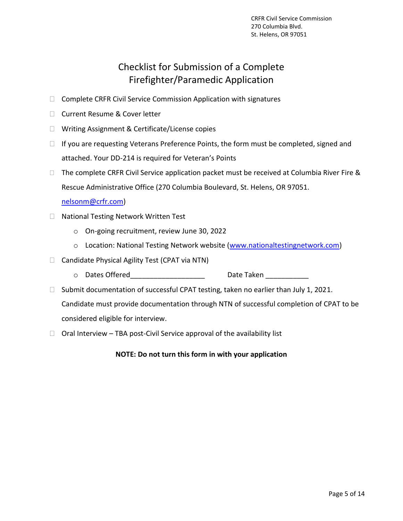# Checklist for Submission of a Complete Firefighter/Paramedic Application

- $\Box$  Complete CRFR Civil Service Commission Application with signatures
- □ Current Resume & Cover letter
- □ Writing Assignment & Certificate/License copies
- $\Box$  If you are requesting Veterans Preference Points, the form must be completed, signed and attached. Your DD-214 is required for Veteran's Points
- $\Box$  The complete CRFR Civil Service application packet must be received at Columbia River Fire & Rescue Administrative Office (270 Columbia Boulevard, St. Helens, OR 97051.

[nelsonm@crfr.com\)](mailto:nelsonm@crfr.com)

- □ National Testing Network Written Test
	- o On-going recruitment, review June 30, 2022
	- o Location: National Testing Network website [\(www.nationaltestingnetwork.com\)](http://www.nationaltestingnetwork.com/)
- $\Box$  Candidate Physical Agility Test (CPAT via NTN)
	- o Dates Offered and Date Taken Date Taken Date Taken and Date Taken and Date Taken and Date Taken and Date Taken
- $\Box$  Submit documentation of successful CPAT testing, taken no earlier than July 1, 2021. Candidate must provide documentation through NTN of successful completion of CPAT to be

considered eligible for interview.

 $\Box$  Oral Interview – TBA post-Civil Service approval of the availability list

**NOTE: Do not turn this form in with your application**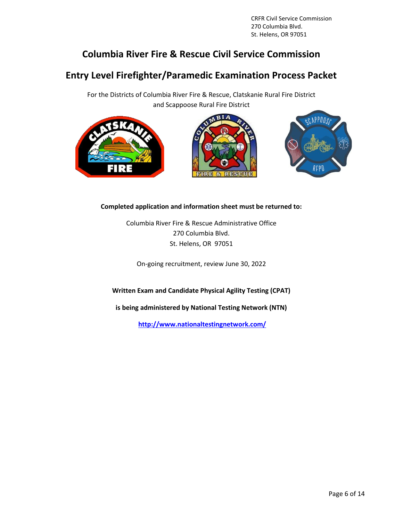# **Columbia River Fire & Rescue Civil Service Commission**

# **Entry Level Firefighter/Paramedic Examination Process Packet**

For the Districts of Columbia River Fire & Rescue, Clatskanie Rural Fire District and Scappoose Rural Fire District







## **Completed application and information sheet must be returned to:**

Columbia River Fire & Rescue Administrative Office 270 Columbia Blvd. St. Helens, OR 97051

On-going recruitment, review June 30, 2022

**Written Exam and Candidate Physical Agility Testing (CPAT)**

**is being administered by National Testing Network (NTN)**

**<http://www.nationaltestingnetwork.com/>**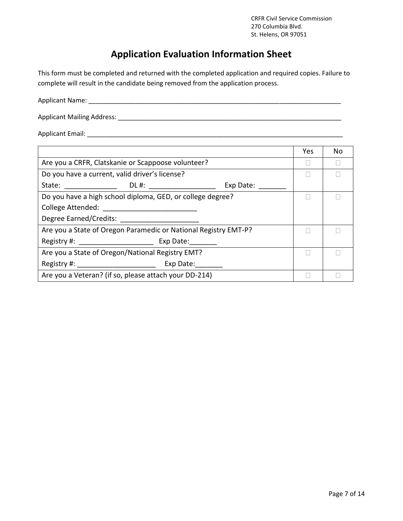# **[Application Evaluation Information Sheet](http://www.nationaltestingnetwork.com/)**

[This form must be completed and returned with the completed application and required copies. Failure to](http://www.nationaltestingnetwork.com/)  [complete will result in the candidate being removed from the application process.](http://www.nationaltestingnetwork.com/) 

Applicant Mailing Address: \_\_\_\_\_\_\_\_\_\_\_\_\_\_\_\_\_\_\_\_\_\_\_\_\_\_\_\_\_\_\_\_\_\_\_\_\_\_\_\_\_\_\_\_\_\_\_\_\_\_\_\_\_\_\_\_\_\_\_\_\_\_

Applicant Email: \_\_\_\_\_\_\_\_\_\_\_\_\_\_\_\_\_\_\_\_\_\_\_\_\_\_\_\_\_\_\_\_\_\_\_\_\_\_\_\_\_\_\_\_\_\_\_\_\_\_\_\_\_\_\_\_\_\_\_\_\_\_\_\_\_\_\_\_\_\_\_

|                                                                 | Yes | No |
|-----------------------------------------------------------------|-----|----|
| Are you a CRFR, Clatskanie or Scappoose volunteer?              |     |    |
| Do you have a current, valid driver's license?                  |     |    |
| State: DL #:<br>Exp Date:                                       |     |    |
| Do you have a high school diploma, GED, or college degree?      |     |    |
| College Attended:                                               |     |    |
| Degree Earned/Credits:                                          |     |    |
| Are you a State of Oregon Paramedic or National Registry EMT-P? |     |    |
| Registry #: Exp Date:                                           |     |    |
| Are you a State of Oregon/National Registry EMT?                |     |    |
| Registry #: Exp Date:                                           |     |    |
| Are you a Veteran? (if so, please attach your DD-214)           |     |    |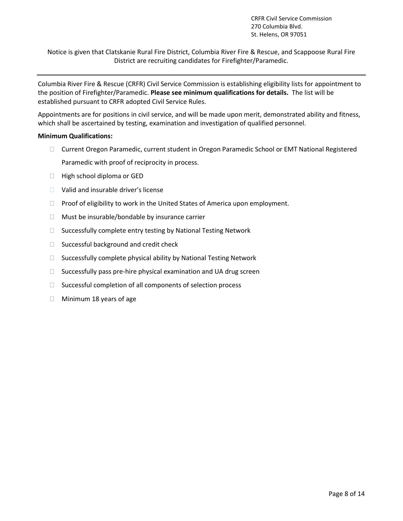Notice is given that Clatskanie Rural Fire District, Columbia River Fire & Rescue, and Scappoose Rural Fire District are recruiting candidates for Firefighter/Paramedic.

Columbia River Fire & Rescue (CRFR) Civil Service Commission is establishing eligibility lists for appointment to the position of Firefighter/Paramedic. **Please see minimum qualifications for details.** The list will be established pursuant to CRFR adopted Civil Service Rules.

Appointments are for positions in civil service, and will be made upon merit, demonstrated ability and fitness, which shall be ascertained by testing, examination and investigation of qualified personnel.

#### **Minimum Qualifications:**

- Current Oregon Paramedic, current student in Oregon Paramedic School or EMT National Registered Paramedic with proof of reciprocity in process.
- $\Box$  High school diploma or GED
- Valid and insurable driver's license
- $\Box$  Proof of eligibility to work in the United States of America upon employment.
- $\Box$  Must be insurable/bondable by insurance carrier
- $\Box$  Successfully complete entry testing by National Testing Network
- $\Box$  Successful background and credit check
- $\Box$  Successfully complete physical ability by National Testing Network
- $\Box$  Successfully pass pre-hire physical examination and UA drug screen
- $\Box$  Successful completion of all components of selection process
- $\Box$  Minimum 18 years of age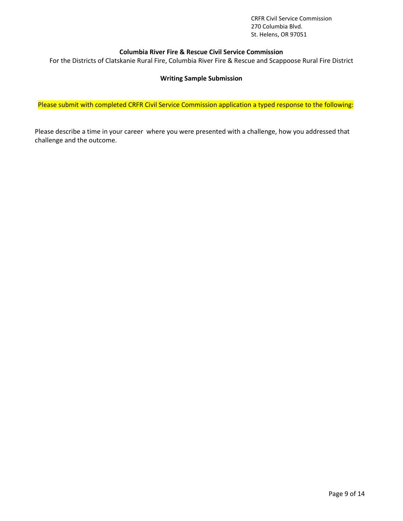#### **Columbia River Fire & Rescue Civil Service Commission**

For the Districts of Clatskanie Rural Fire, Columbia River Fire & Rescue and Scappoose Rural Fire District

#### **Writing Sample Submission**

Please submit with completed CRFR Civil Service Commission application a typed response to the following:

Please describe a time in your career where you were presented with a challenge, how you addressed that challenge and the outcome.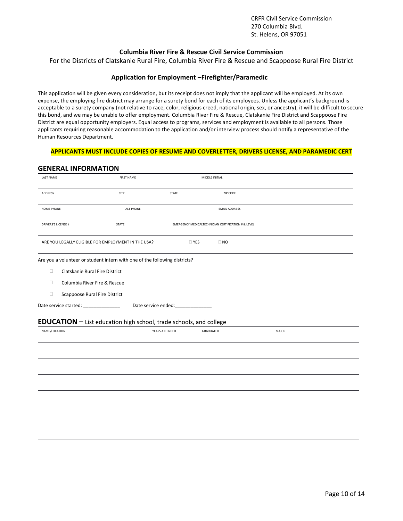#### **Columbia River Fire & Rescue Civil Service Commission**

For the Districts of Clatskanie Rural Fire, Columbia River Fire & Rescue and Scappoose Rural Fire District

#### **Application for Employment –Firefighter/Paramedic**

This application will be given every consideration, but its receipt does not imply that the applicant will be employed. At its own expense, the employing fire district may arrange for a surety bond for each of its employees. Unless the applicant's background is acceptable to a surety company (not relative to race, color, religious creed, national origin, sex, or ancestry), it will be difficult to secure this bond, and we may be unable to offer employment. Columbia River Fire & Rescue, Clatskanie Fire District and Scappoose Fire District are equal opportunity employers. Equal access to programs, services and employment is available to all persons. Those applicants requiring reasonable accommodation to the application and/or interview process should notify a representative of the Human Resources Department.

#### **APPLICANTS MUST INCLUDE COPIES OF RESUME AND COVERLETTER, DRIVERS LICENSE, AND PARAMEDIC CERT**

#### **GENERAL INFORMATION**

| <b>LAST NAME</b>                                    | <b>FIRST NAME</b> |              | MIDDLE INITIAL                                      |  |
|-----------------------------------------------------|-------------------|--------------|-----------------------------------------------------|--|
| ADDRESS                                             | <b>CITY</b>       | <b>STATE</b> | ZIP CODE                                            |  |
| <b>HOME PHONE</b>                                   | ALT PHONE         |              | <b>EMAIL ADDRESS</b>                                |  |
| <b>DRIVERS'S LICENSE #</b>                          | STATE             |              | EMERGENCY MEDICALTECHNICIAN CERTIFICATION # & LEVEL |  |
| ARE YOU LEGALLY ELIGIBLE FOR EMPLOYMENT IN THE USA? |                   | $\Box$ YES   | $\Box$ NO                                           |  |

Are you a volunteer or student intern with one of the following districts?

- Clatskanie Rural Fire District
- □ Columbia River Fire & Rescue
- □ Scappoose Rural Fire District
- Date service started: <br> Pate service ended:

#### **EDUCATION –** List education high school, trade schools, and college

| NAME/LOCATION | YEARS ATTENDED | GRADUATED | MAJOR |
|---------------|----------------|-----------|-------|
|               |                |           |       |
|               |                |           |       |
|               |                |           |       |
|               |                |           |       |
|               |                |           |       |
|               |                |           |       |
|               |                |           |       |
|               |                |           |       |
|               |                |           |       |
|               |                |           |       |
|               |                |           |       |
|               |                |           |       |
|               |                |           |       |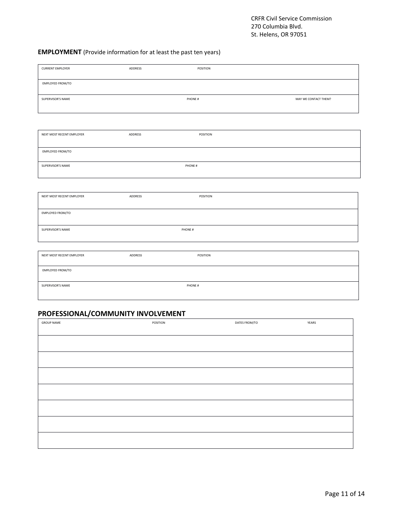# **EMPLOYMENT** (Provide information for at least the past ten years)

| <b>CURRENT EMPLOYER</b>   | ADDRESS | POSITION |                      |
|---------------------------|---------|----------|----------------------|
|                           |         |          |                      |
| EMPLOYED FROM/TO          |         |          |                      |
|                           |         |          |                      |
|                           |         |          |                      |
| SUPERVISOR'S NAME         |         | PHONE #  | MAY WE CONTACT THEM? |
|                           |         |          |                      |
|                           |         |          |                      |
|                           |         |          |                      |
|                           |         |          |                      |
| NEXT MOST RECENT EMPLOYER | ADDRESS | POSITION |                      |
|                           |         |          |                      |
|                           |         |          |                      |
| EMPLOYED FROM/TO          |         |          |                      |
|                           |         |          |                      |
| SUPERVISOR'S NAME         |         | PHONE #  |                      |
|                           |         |          |                      |
|                           |         |          |                      |
|                           |         |          |                      |
|                           |         |          |                      |
| NEXT MOST RECENT EMPLOYER | ADDRESS | POSITION |                      |
|                           |         |          |                      |
| EMPLOYED FROM/TO          |         |          |                      |
|                           |         |          |                      |
|                           |         |          |                      |
| SUPERVISOR'S NAME         |         | PHONE #  |                      |
|                           |         |          |                      |
|                           |         |          |                      |
|                           |         |          |                      |
| NEXT MOST RECENT EMPLOYER | ADDRESS | POSITION |                      |
|                           |         |          |                      |
| EMPLOYED FROM/TO          |         |          |                      |
|                           |         |          |                      |
|                           |         |          |                      |
| SUPERVISOR'S NAME         |         | PHONE #  |                      |
|                           |         |          |                      |
|                           |         |          |                      |
|                           |         |          |                      |

# **PROFESSIONAL/COMMUNITY INVOLVEMENT**

| <b>GROUP NAME</b> | POSITION | DATES FROM/TO | YEARS |
|-------------------|----------|---------------|-------|
|                   |          |               |       |
|                   |          |               |       |
|                   |          |               |       |
|                   |          |               |       |
|                   |          |               |       |
|                   |          |               |       |
|                   |          |               |       |
|                   |          |               |       |
|                   |          |               |       |
|                   |          |               |       |
|                   |          |               |       |
|                   |          |               |       |
|                   |          |               |       |
|                   |          |               |       |
|                   |          |               |       |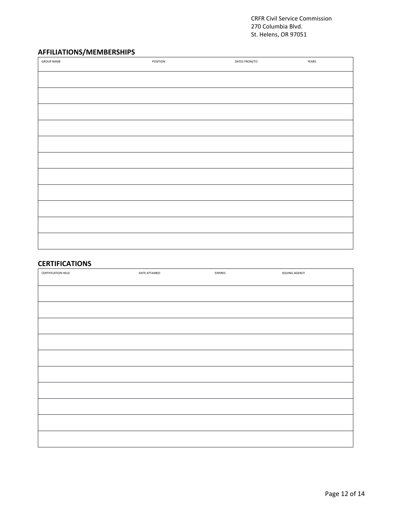# **AFFILIATIONS/MEMBERSHIPS**

| <b>GROUP NAME</b> | POSITION | DATES FROM/TO | YEARS |
|-------------------|----------|---------------|-------|
|                   |          |               |       |
|                   |          |               |       |
|                   |          |               |       |
|                   |          |               |       |
|                   |          |               |       |
|                   |          |               |       |
|                   |          |               |       |
|                   |          |               |       |
|                   |          |               |       |
|                   |          |               |       |
|                   |          |               |       |

### **CERTIFICATIONS**

| CERTIFICATION HELD | DATE ATTAINED | EXPIRES | <b>ISSUING AGENCY</b> |
|--------------------|---------------|---------|-----------------------|
|                    |               |         |                       |
|                    |               |         |                       |
|                    |               |         |                       |
|                    |               |         |                       |
|                    |               |         |                       |
|                    |               |         |                       |
|                    |               |         |                       |
|                    |               |         |                       |
|                    |               |         |                       |
|                    |               |         |                       |
|                    |               |         |                       |
|                    |               |         |                       |
|                    |               |         |                       |
|                    |               |         |                       |
|                    |               |         |                       |
|                    |               |         |                       |
|                    |               |         |                       |
|                    |               |         |                       |
|                    |               |         |                       |
|                    |               |         |                       |
|                    |               |         |                       |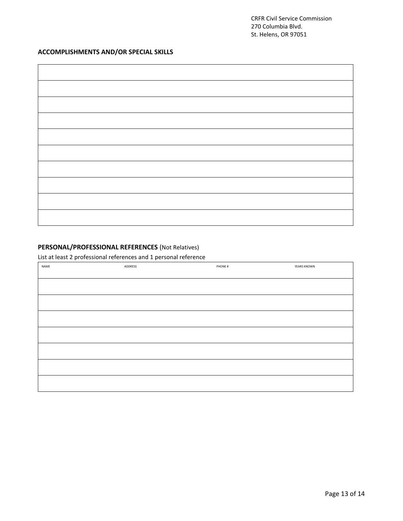# **ACCOMPLISHMENTS AND/OR SPECIAL SKILLS**

# **PERSONAL/PROFESSIONAL REFERENCES** (Not Relatives)

List at least 2 professional references and 1 personal reference

| NAME | ADDRESS | PHONE# | YEARS KNOWN |
|------|---------|--------|-------------|
|      |         |        |             |
|      |         |        |             |
|      |         |        |             |
|      |         |        |             |
|      |         |        |             |
|      |         |        |             |
|      |         |        |             |
|      |         |        |             |
|      |         |        |             |
|      |         |        |             |
|      |         |        |             |
|      |         |        |             |
|      |         |        |             |
|      |         |        |             |
|      |         |        |             |